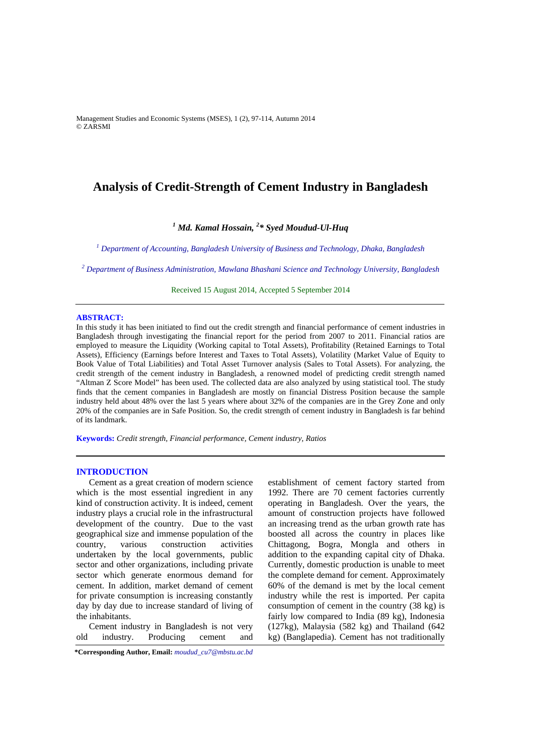Management Studies and Economic Systems (MSES), 1 (2), 97-114, Autumn 2014 © ZARSMI

# **Analysis of Credit-Strength of Cement Industry in Bangladesh**

# *1 Md. Kamal Hossain, <sup>2</sup> \* Syed Moudud-Ul-Huq*

<sup>1</sup> Department of Accounting, Bangladesh University of Business and Technology, Dhaka, Bangladesh

*2 Department of Business Administration, Mawlana Bhashani Science and Technology University, Bangladesh*

Received 15 August 2014, Accepted 5 September 2014

### **ABSTRACT:**

In this study it has been initiated to find out the credit strength and financial performance of cement industries in Bangladesh through investigating the financial report for the period from 2007 to 2011. Financial ratios are employed to measure the Liquidity (Working capital to Total Assets), Profitability (Retained Earnings to Total Assets), Efficiency (Earnings before Interest and Taxes to Total Assets), Volatility (Market Value of Equity to Book Value of Total Liabilities) and Total Asset Turnover analysis (Sales to Total Assets). For analyzing, the credit strength of the cement industry in Bangladesh, a renowned model of predicting credit strength named "Altman Z Score Model" has been used. The collected data are also analyzed by using statistical tool. The study finds that the cement companies in Bangladesh are mostly on financial Distress Position because the sample industry held about 48% over the last 5 years where about 32% of the companies are in the Grey Zone and only 20% of the companies are in Safe Position. So, the credit strength of cement industry in Bangladesh is far behind of its landmark.

**Keywords:** *Credit strength, Financial performance, Cement industry, Ratios* 

#### **INTRODUCTION**

Cement as a great creation of modern science which is the most essential ingredient in any kind of construction activity. It is indeed, cement industry plays a crucial role in the infrastructural development of the country. Due to the vast geographical size and immense population of the country, various construction activities undertaken by the local governments, public sector and other organizations, including private sector which generate enormous demand for cement. In addition, market demand of cement for private consumption is increasing constantly day by day due to increase standard of living of the inhabitants.

Cement industry in Bangladesh is not very old industry. Producing cement and

**\*Corresponding Author, Email:** *moudud\_cu7@mbstu.ac.bd*

establishment of cement factory started from 1992. There are 70 cement factories currently operating in Bangladesh. Over the years, the amount of construction projects have followed an increasing trend as the urban growth rate has boosted all across the country in places like Chittagong, Bogra, Mongla and others in addition to the expanding capital city of Dhaka. Currently, domestic production is unable to meet the complete demand for cement. Approximately 60% of the demand is met by the local cement industry while the rest is imported. Per capita consumption of cement in the country (38 kg) is fairly low compared to India (89 kg), Indonesia (127kg), Malaysia (582 kg) and Thailand (642 kg) (Banglapedia). Cement has not traditionally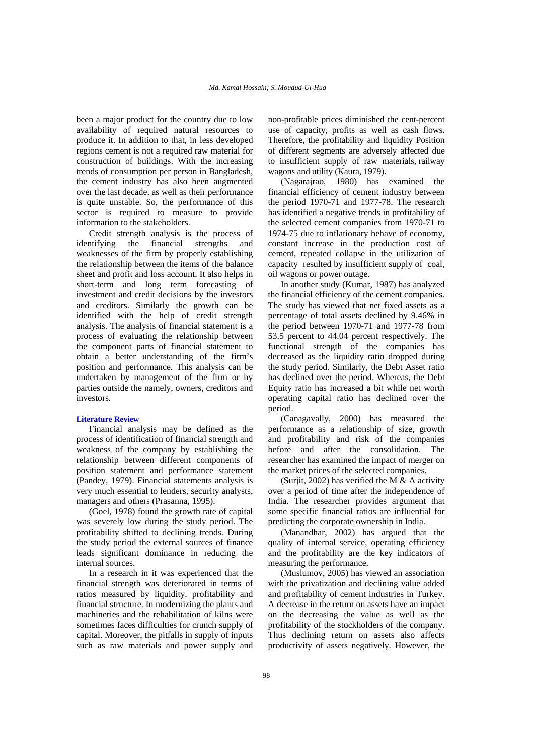been a major product for the country due to low availability of required natural resources to produce it. In addition to that, in less developed regions cement is not a required raw material for construction of buildings. With the increasing trends of consumption per person in Bangladesh, the cement industry has also been augmented over the last decade, as well as their performance is quite unstable. So, the performance of this sector is required to measure to provide information to the stakeholders.

Credit strength analysis is the process of identifying the financial strengths and weaknesses of the firm by properly establishing the relationship between the items of the balance sheet and profit and loss account. It also helps in short-term and long term forecasting of investment and credit decisions by the investors and creditors. Similarly the growth can be identified with the help of credit strength analysis. The analysis of financial statement is a process of evaluating the relationship between the component parts of financial statement to obtain a better understanding of the firm's position and performance. This analysis can be undertaken by management of the firm or by parties outside the namely, owners, creditors and investors.

#### **Literature Review**

Financial analysis may be defined as the process of identification of financial strength and weakness of the company by establishing the relationship between different components of position statement and performance statement (Pandey, 1979). Financial statements analysis is very much essential to lenders, security analysts, managers and others (Prasanna, 1995).

(Goel, 1978) found the growth rate of capital was severely low during the study period. The profitability shifted to declining trends. During the study period the external sources of finance leads significant dominance in reducing the internal sources.

In a research in it was experienced that the financial strength was deteriorated in terms of ratios measured by liquidity, profitability and financial structure. In modernizing the plants and machineries and the rehabilitation of kilns were sometimes faces difficulties for crunch supply of capital. Moreover, the pitfalls in supply of inputs such as raw materials and power supply and

non-profitable prices diminished the cent-percent use of capacity, profits as well as cash flows. Therefore, the profitability and liquidity Position of different segments are adversely affected due to insufficient supply of raw materials, railway wagons and utility (Kaura, 1979).

(Nagarajrao, 1980) has examined the financial efficiency of cement industry between the period 1970-71 and 1977-78. The research has identified a negative trends in profitability of the selected cement companies from 1970-71 to 1974-75 due to inflationary behave of economy, constant increase in the production cost of cement, repeated collapse in the utilization of capacity resulted by insufficient supply of coal, oil wagons or power outage.

In another study (Kumar, 1987) has analyzed the financial efficiency of the cement companies. The study has viewed that net fixed assets as a percentage of total assets declined by 9.46% in the period between 1970-71 and 1977-78 from 53.5 percent to 44.04 percent respectively. The functional strength of the companies has decreased as the liquidity ratio dropped during the study period. Similarly, the Debt Asset ratio has declined over the period. Whereas, the Debt Equity ratio has increased a bit while net worth operating capital ratio has declined over the period.

(Canagavally, 2000) has measured the performance as a relationship of size, growth and profitability and risk of the companies before and after the consolidation. The researcher has examined the impact of merger on the market prices of the selected companies.

(Surjit, 2002) has verified the M & A activity over a period of time after the independence of India. The researcher provides argument that some specific financial ratios are influential for predicting the corporate ownership in India.

(Manandhar, 2002) has argued that the quality of internal service, operating efficiency and the profitability are the key indicators of measuring the performance.

(Muslumov, 2005) has viewed an association with the privatization and declining value added and profitability of cement industries in Turkey. A decrease in the return on assets have an impact on the decreasing the value as well as the profitability of the stockholders of the company. Thus declining return on assets also affects productivity of assets negatively. However, the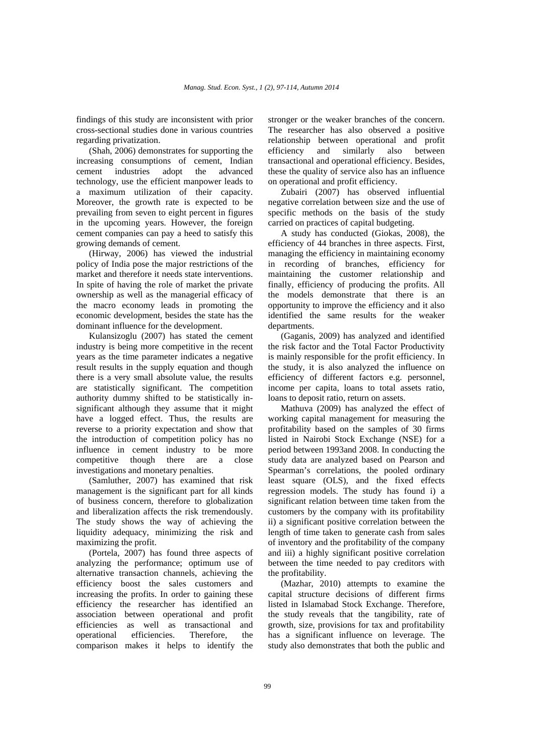findings of this study are inconsistent with prior cross-sectional studies done in various countries regarding privatization.

(Shah, 2006) demonstrates for supporting the increasing consumptions of cement, Indian cement industries adopt the advanced technology, use the efficient manpower leads to a maximum utilization of their capacity. Moreover, the growth rate is expected to be prevailing from seven to eight percent in figures in the upcoming years. However, the foreign cement companies can pay a heed to satisfy this growing demands of cement.

(Hirway, 2006) has viewed the industrial policy of India pose the major restrictions of the market and therefore it needs state interventions. In spite of having the role of market the private ownership as well as the managerial efficacy of the macro economy leads in promoting the economic development, besides the state has the dominant influence for the development.

Kulansizoglu (2007) has stated the cement industry is being more competitive in the recent years as the time parameter indicates a negative result results in the supply equation and though there is a very small absolute value, the results are statistically significant. The competition authority dummy shifted to be statistically insignificant although they assume that it might have a logged effect. Thus, the results are reverse to a priority expectation and show that the introduction of competition policy has no influence in cement industry to be more competitive though there are a close investigations and monetary penalties.

(Samluther, 2007) has examined that risk management is the significant part for all kinds of business concern, therefore to globalization and liberalization affects the risk tremendously. The study shows the way of achieving the liquidity adequacy, minimizing the risk and maximizing the profit.

(Portela, 2007) has found three aspects of analyzing the performance; optimum use of alternative transaction channels, achieving the efficiency boost the sales customers and increasing the profits. In order to gaining these efficiency the researcher has identified an association between operational and profit efficiencies as well as transactional and operational efficiencies. Therefore, the comparison makes it helps to identify the

stronger or the weaker branches of the concern. The researcher has also observed a positive relationship between operational and profit efficiency and similarly also between transactional and operational efficiency. Besides, these the quality of service also has an influence on operational and profit efficiency.

Zubairi (2007) has observed influential negative correlation between size and the use of specific methods on the basis of the study carried on practices of capital budgeting.

A study has conducted (Giokas, 2008), the efficiency of 44 branches in three aspects. First, managing the efficiency in maintaining economy in recording of branches, efficiency for maintaining the customer relationship and finally, efficiency of producing the profits. All the models demonstrate that there is an opportunity to improve the efficiency and it also identified the same results for the weaker departments.

(Gaganis, 2009) has analyzed and identified the risk factor and the Total Factor Productivity is mainly responsible for the profit efficiency. In the study, it is also analyzed the influence on efficiency of different factors e.g. personnel, income per capita, loans to total assets ratio, loans to deposit ratio, return on assets.

Mathuva (2009) has analyzed the effect of working capital management for measuring the profitability based on the samples of 30 firms listed in Nairobi Stock Exchange (NSE) for a period between 1993and 2008. In conducting the study data are analyzed based on Pearson and Spearman's correlations, the pooled ordinary least square (OLS), and the fixed effects regression models. The study has found i) a significant relation between time taken from the customers by the company with its profitability ii) a significant positive correlation between the length of time taken to generate cash from sales of inventory and the profitability of the company and iii) a highly significant positive correlation between the time needed to pay creditors with the profitability.

(Mazhar, 2010) attempts to examine the capital structure decisions of different firms listed in Islamabad Stock Exchange. Therefore, the study reveals that the tangibility, rate of growth, size, provisions for tax and profitability has a significant influence on leverage. The study also demonstrates that both the public and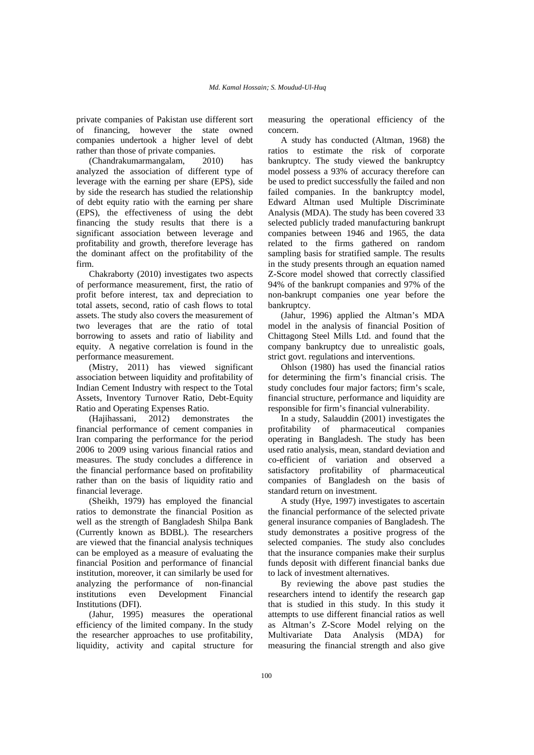private companies of Pakistan use different sort of financing, however the state owned companies undertook a higher level of debt rather than those of private companies.

(Chandrakumarmangalam, 2010) has analyzed the association of different type of leverage with the earning per share (EPS), side by side the research has studied the relationship of debt equity ratio with the earning per share (EPS), the effectiveness of using the debt financing the study results that there is a significant association between leverage and profitability and growth, therefore leverage has the dominant affect on the profitability of the firm.

Chakraborty (2010) investigates two aspects of performance measurement, first, the ratio of profit before interest, tax and depreciation to total assets, second, ratio of cash flows to total assets. The study also covers the measurement of two leverages that are the ratio of total borrowing to assets and ratio of liability and equity. A negative correlation is found in the performance measurement.

(Mistry, 2011) has viewed significant association between liquidity and profitability of Indian Cement Industry with respect to the Total Assets, Inventory Turnover Ratio, Debt-Equity Ratio and Operating Expenses Ratio.

(Hajihassani, 2012) demonstrates the financial performance of cement companies in Iran comparing the performance for the period 2006 to 2009 using various financial ratios and measures. The study concludes a difference in the financial performance based on profitability rather than on the basis of liquidity ratio and financial leverage.

(Sheikh, 1979) has employed the financial ratios to demonstrate the financial Position as well as the strength of Bangladesh Shilpa Bank (Currently known as BDBL). The researchers are viewed that the financial analysis techniques can be employed as a measure of evaluating the financial Position and performance of financial institution, moreover, it can similarly be used for analyzing the performance of non-financial institutions even Development Financial Institutions (DFI).

(Jahur, 1995) measures the operational efficiency of the limited company. In the study the researcher approaches to use profitability, liquidity, activity and capital structure for

measuring the operational efficiency of the concern.

A study has conducted (Altman, 1968) the ratios to estimate the risk of corporate bankruptcy. The study viewed the bankruptcy model possess a 93% of accuracy therefore can be used to predict successfully the failed and non failed companies. In the bankruptcy model, Edward Altman used Multiple Discriminate Analysis (MDA). The study has been covered 33 selected publicly traded manufacturing bankrupt companies between 1946 and 1965, the data related to the firms gathered on random sampling basis for stratified sample. The results in the study presents through an equation named Z-Score model showed that correctly classified 94% of the bankrupt companies and 97% of the non-bankrupt companies one year before the bankruptcy.

(Jahur, 1996) applied the Altman's MDA model in the analysis of financial Position of Chittagong Steel Mills Ltd. and found that the company bankruptcy due to unrealistic goals, strict govt. regulations and interventions.

Ohlson (1980) has used the financial ratios for determining the firm's financial crisis. The study concludes four major factors; firm's scale, financial structure, performance and liquidity are responsible for firm's financial vulnerability.

In a study, Salauddin (2001) investigates the profitability of pharmaceutical companies operating in Bangladesh. The study has been used ratio analysis, mean, standard deviation and co-efficient of variation and observed a satisfactory profitability of pharmaceutical companies of Bangladesh on the basis of standard return on investment.

A study (Hye, 1997) investigates to ascertain the financial performance of the selected private general insurance companies of Bangladesh. The study demonstrates a positive progress of the selected companies. The study also concludes that the insurance companies make their surplus funds deposit with different financial banks due to lack of investment alternatives.

By reviewing the above past studies the researchers intend to identify the research gap that is studied in this study. In this study it attempts to use different financial ratios as well as Altman's Z-Score Model relying on the Multivariate Data Analysis (MDA) for measuring the financial strength and also give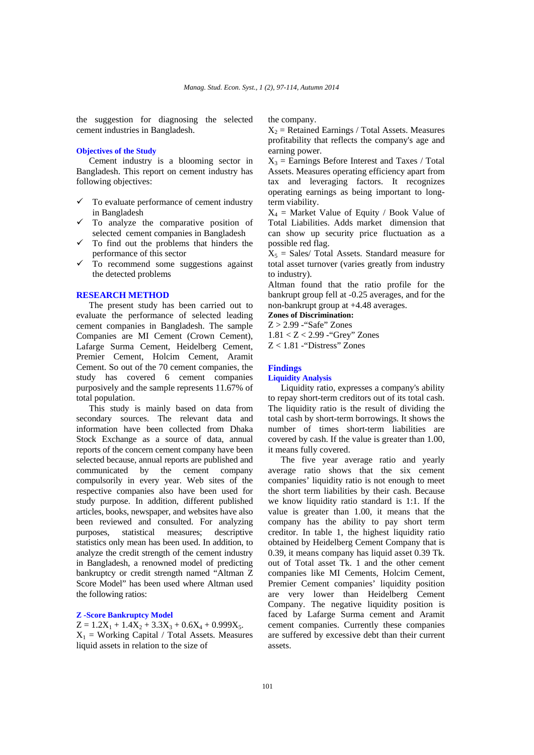the suggestion for diagnosing the selected cement industries in Bangladesh.

# **Objectives of the Study**

Cement industry is a blooming sector in Bangladesh. This report on cement industry has following objectives:

- To evaluate performance of cement industry in Bangladesh
- To analyze the comparative position of selected cement companies in Bangladesh
- To find out the problems that hinders the performance of this sector
- To recommend some suggestions against the detected problems

# **RESEARCH METHOD**

The present study has been carried out to evaluate the performance of selected leading cement companies in Bangladesh. The sample Companies are MI Cement (Crown Cement), Lafarge Surma Cement, Heidelberg Cement, Premier Cement, Holcim Cement, Aramit Cement. So out of the 70 cement companies, the study has covered 6 cement companies purposively and the sample represents 11.67% of total population.

This study is mainly based on data from secondary sources. The relevant data and information have been collected from Dhaka Stock Exchange as a source of data, annual reports of the concern cement company have been selected because, annual reports are published and communicated by the cement company compulsorily in every year. Web sites of the respective companies also have been used for study purpose. In addition, different published articles, books, newspaper, and websites have also been reviewed and consulted. For analyzing purposes, statistical measures; descriptive statistics only mean has been used. In addition, to analyze the credit strength of the cement industry in Bangladesh, a renowned model of predicting bankruptcy or credit strength named "Altman Z Score Model" has been used where Altman used the following ratios:

# **Z -Score Bankruptcy Model**

 $Z = 1.2X_1 + 1.4X_2 + 3.3X_3 + 0.6X_4 + 0.999X_5.$  $X_1$  = Working Capital / Total Assets. Measures liquid assets in relation to the size of

the company.

 $X_2$  = Retained Earnings / Total Assets. Measures profitability that reflects the company's age and earning power.

 $X_3$  = Earnings Before Interest and Taxes / Total Assets. Measures operating efficiency apart from tax and leveraging factors. It recognizes operating earnings as being important to longterm viability.

 $X_4$  = Market Value of Equity / Book Value of Total Liabilities. Adds market dimension that can show up security price fluctuation as a possible red flag.

 $X_5$  = Sales/ Total Assets. Standard measure for total asset turnover (varies greatly from industry to industry).

Altman found that the ratio profile for the bankrupt group fell at -0.25 averages, and for the non-bankrupt group at +4.48 averages.

**Zones of Discrimination:** 

Z > 2.99 -"Safe" Zones 1.81 < Z < 2.99 -"Grey" Zones  $Z < 1.81$  - "Distress" Zones

# **Findings**

### **Liquidity Analysis**

Liquidity ratio, expresses a company's ability to repay short-term creditors out of its total cash. The liquidity ratio is the result of dividing the total cash by short-term borrowings. It shows the number of times short-term liabilities are covered by cash. If the value is greater than 1.00, it means fully covered.

The five year average ratio and yearly average ratio shows that the six cement companies' liquidity ratio is not enough to meet the short term liabilities by their cash. Because we know liquidity ratio standard is 1:1. If the value is greater than 1.00, it means that the company has the ability to pay short term creditor. In table 1, the highest liquidity ratio obtained by Heidelberg Cement Company that is 0.39, it means company has liquid asset 0.39 Tk. out of Total asset Tk. 1 and the other cement companies like MI Cements, Holcim Cement, Premier Cement companies' liquidity position are very lower than Heidelberg Cement Company. The negative liquidity position is faced by Lafarge Surma cement and Aramit cement companies. Currently these companies are suffered by excessive debt than their current assets.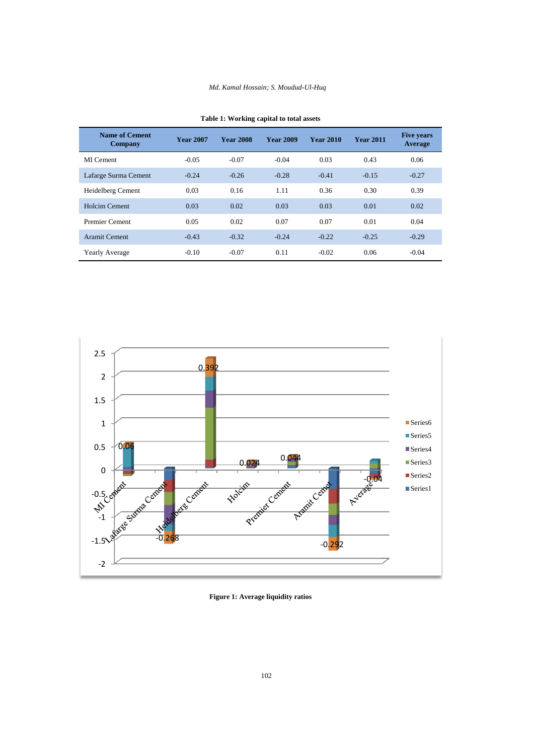# *Md. Kamal Hossain; S. Moudud-Ul-Huq*

| <b>Name of Cement</b><br>Company | <b>Year 2007</b> | <b>Year 2008</b> | <b>Year 2009</b> | <b>Year 2010</b> | <b>Year 2011</b> | <b>Five years</b><br>Average |
|----------------------------------|------------------|------------------|------------------|------------------|------------------|------------------------------|
| MI Cement                        | $-0.05$          | $-0.07$          | $-0.04$          | 0.03             | 0.43             | 0.06                         |
| Lafarge Surma Cement             | $-0.24$          | $-0.26$          | $-0.28$          | $-0.41$          | $-0.15$          | $-0.27$                      |
| Heidelberg Cement                | 0.03             | 0.16             | 1.11             | 0.36             | 0.30             | 0.39                         |
| Holcim Cement                    | 0.03             | 0.02             | 0.03             | 0.03             | 0.01             | 0.02                         |
| <b>Premier Cement</b>            | 0.05             | 0.02             | 0.07             | 0.07             | 0.01             | 0.04                         |
| <b>Aramit Cement</b>             | $-0.43$          | $-0.32$          | $-0.24$          | $-0.22$          | $-0.25$          | $-0.29$                      |
| <b>Yearly Average</b>            | $-0.10$          | $-0.07$          | 0.11             | $-0.02$          | 0.06             | $-0.04$                      |

| Table 1: Working capital to total assets |  |  |  |
|------------------------------------------|--|--|--|
|------------------------------------------|--|--|--|



**Figure 1: Average liquidity ratios**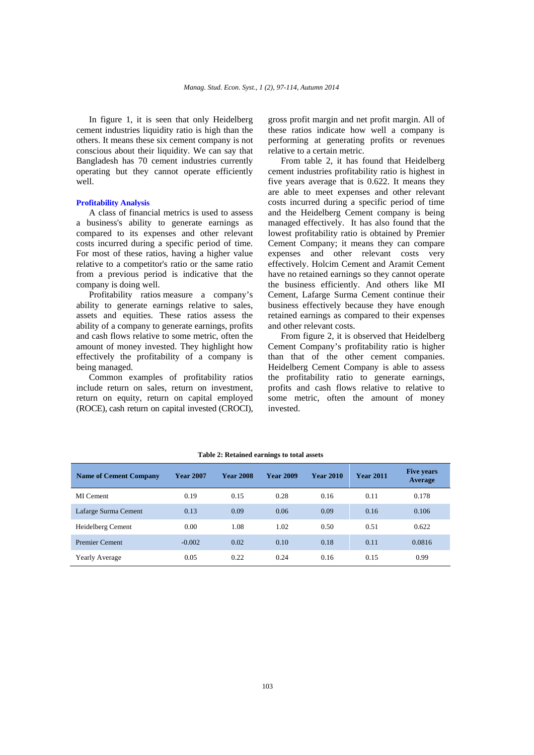In figure 1, it is seen that only Heidelberg cement industries liquidity ratio is high than the others. It means these six cement company is not conscious about their liquidity. We can say that Bangladesh has 70 cement industries currently operating but they cannot operate efficiently well.

### **Profitability Analysis**

A class of financial metrics is used to assess a business's ability to generate earnings as compared to its expenses and other relevant costs incurred during a specific period of time. For most of these ratios, having a higher value relative to a competitor's ratio or the same ratio from a previous period is indicative that the company is doing well.

Profitability ratios measure a company's ability to generate earnings relative to sales, assets and equities. These ratios assess the ability of a company to generate earnings, profits and cash flows relative to some metric, often the amount of money invested. They highlight how effectively the profitability of a company is being managed.

Common examples of profitability ratios include return on sales, return on investment, return on equity, return on capital employed (ROCE), cash return on capital invested (CROCI), gross profit margin and net profit margin. All of these ratios indicate how well a company is performing at generating profits or revenues relative to a certain metric.

From table 2, it has found that Heidelberg cement industries profitability ratio is highest in five years average that is 0.622. It means they are able to meet expenses and other relevant costs incurred during a specific period of time and the Heidelberg Cement company is being managed effectively. It has also found that the lowest profitability ratio is obtained by Premier Cement Company; it means they can compare expenses and other relevant costs very effectively. Holcim Cement and Aramit Cement have no retained earnings so they cannot operate the business efficiently. And others like MI Cement, Lafarge Surma Cement continue their business effectively because they have enough retained earnings as compared to their expenses and other relevant costs.

From figure 2, it is observed that Heidelberg Cement Company's profitability ratio is higher than that of the other cement companies. Heidelberg Cement Company is able to assess the profitability ratio to generate earnings, profits and cash flows relative to relative to some metric, often the amount of money invested.

| <b>Name of Cement Company</b> | <b>Year 2007</b> | <b>Year 2008</b> | <b>Year 2009</b> | <b>Year 2010</b> | <b>Year 2011</b> | <b>Five years</b><br><b>Average</b> |
|-------------------------------|------------------|------------------|------------------|------------------|------------------|-------------------------------------|
| MI Cement                     | 0.19             | 0.15             | 0.28             | 0.16             | 0.11             | 0.178                               |
| Lafarge Surma Cement          | 0.13             | 0.09             | 0.06             | 0.09             | 0.16             | 0.106                               |
| Heidelberg Cement             | 0.00             | 1.08             | 1.02             | 0.50             | 0.51             | 0.622                               |
| <b>Premier Cement</b>         | $-0.002$         | 0.02             | 0.10             | 0.18             | 0.11             | 0.0816                              |
| <b>Yearly Average</b>         | 0.05             | 0.22             | 0.24             | 0.16             | 0.15             | 0.99                                |

#### **Table 2: Retained earnings to total assets**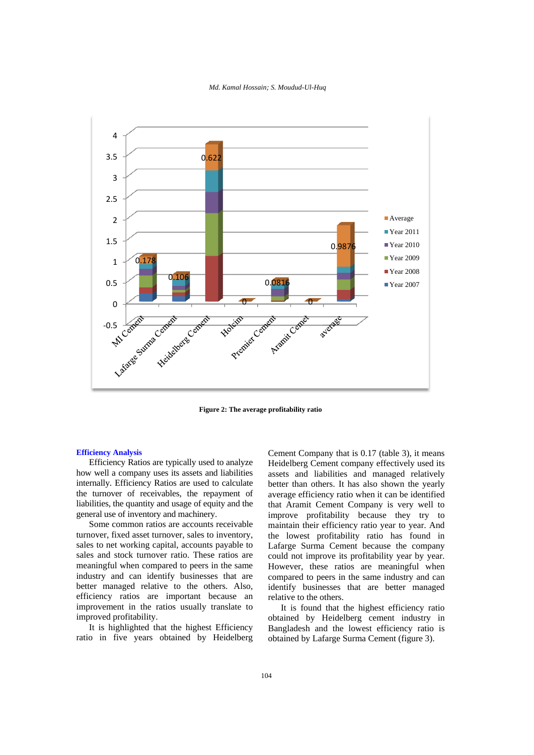#### *Md. Kamal Hossain; S. Moudud-Ul-Huq*



**Figure 2: The average profitability ratio** 

### **Efficiency Analysis**

Efficiency Ratios are typically used to analyze how well a company uses its assets and liabilities internally. Efficiency Ratios are used to calculate the turnover of receivables, the repayment of liabilities, the quantity and usage of equity and the general use of inventory and machinery.

Some common ratios are accounts receivable turnover, fixed asset turnover, sales to inventory, sales to net working capital, accounts payable to sales and stock turnover ratio. These ratios are meaningful when compared to peers in the same industry and can identify businesses that are better managed relative to the others. Also, efficiency ratios are important because an improvement in the ratios usually translate to improved profitability.

It is highlighted that the highest Efficiency ratio in five years obtained by Heidelberg Cement Company that is 0.17 (table 3), it means Heidelberg Cement company effectively used its assets and liabilities and managed relatively better than others. It has also shown the yearly average efficiency ratio when it can be identified that Aramit Cement Company is very well to improve profitability because they try to maintain their efficiency ratio year to year. And the lowest profitability ratio has found in Lafarge Surma Cement because the company could not improve its profitability year by year. However, these ratios are meaningful when compared to peers in the same industry and can identify businesses that are better managed relative to the others.

It is found that the highest efficiency ratio obtained by Heidelberg cement industry in Bangladesh and the lowest efficiency ratio is obtained by Lafarge Surma Cement (figure 3).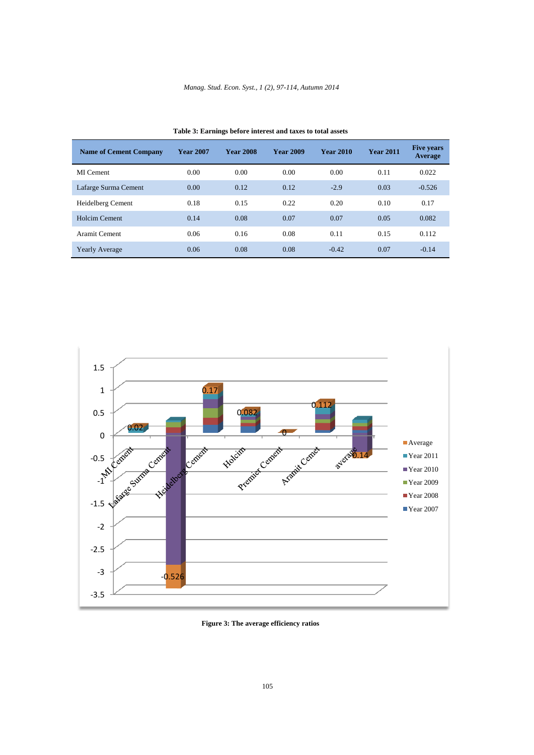| <b>Name of Cement Company</b> | <b>Year 2007</b> | <b>Year 2008</b> | <b>Year 2009</b> | <b>Year 2010</b> | <b>Year 2011</b> | <b>Five years</b><br><b>Average</b> |
|-------------------------------|------------------|------------------|------------------|------------------|------------------|-------------------------------------|
| MI Cement                     | 0.00             | 0.00             | 0.00             | 0.00             | 0.11             | 0.022                               |
| Lafarge Surma Cement          | 0.00             | 0.12             | 0.12             | $-2.9$           | 0.03             | $-0.526$                            |
| Heidelberg Cement             | 0.18             | 0.15             | 0.22             | 0.20             | 0.10             | 0.17                                |
| Holcim Cement                 | 0.14             | 0.08             | 0.07             | 0.07             | 0.05             | 0.082                               |
| Aramit Cement                 | 0.06             | 0.16             | 0.08             | 0.11             | 0.15             | 0.112                               |
| <b>Yearly Average</b>         | 0.06             | 0.08             | 0.08             | $-0.42$          | 0.07             | $-0.14$                             |

**Table 3: Earnings before interest and taxes to total assets** 



**Figure 3: The average efficiency ratios**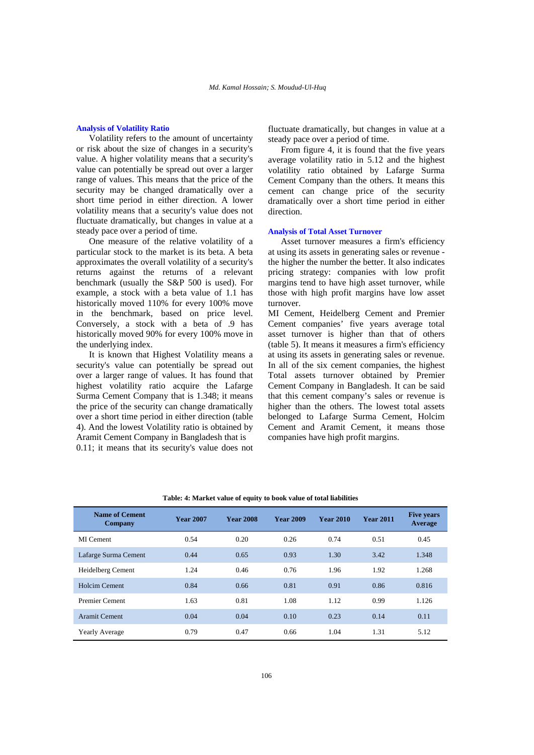### **Analysis of Volatility Ratio**

Volatility refers to the amount of uncertainty or risk about the size of changes in a security's value. A higher volatility means that a security's value can potentially be spread out over a larger range of values. This means that the price of the security may be changed dramatically over a short time period in either direction. A lower volatility means that a security's value does not fluctuate dramatically, but changes in value at a steady pace over a period of time.

One measure of the relative volatility of a particular stock to the market is its beta. A beta approximates the overall volatility of a security's returns against the returns of a relevant benchmark (usually the S&P 500 is used). For example, a stock with a beta value of 1.1 has historically moved 110% for every 100% move in the benchmark, based on price level. Conversely, a stock with a beta of .9 has historically moved 90% for every 100% move in the underlying index.

It is known that Highest Volatility means a security's value can potentially be spread out over a larger range of values. It has found that highest volatility ratio acquire the Lafarge Surma Cement Company that is 1.348; it means the price of the security can change dramatically over a short time period in either direction (table 4). And the lowest Volatility ratio is obtained by Aramit Cement Company in Bangladesh that is 0.11; it means that its security's value does not

fluctuate dramatically, but changes in value at a steady pace over a period of time.

From figure 4, it is found that the five years average volatility ratio in 5.12 and the highest volatility ratio obtained by Lafarge Surma Cement Company than the others. It means this cement can change price of the security dramatically over a short time period in either direction.

# **Analysis of Total Asset Turnover**

Asset turnover measures a firm's efficiency at using its assets in generating sales or revenue the higher the number the better. It also indicates pricing strategy: companies with low profit margins tend to have high asset turnover, while those with high profit margins have low asset turnover.

MI Cement, Heidelberg Cement and Premier Cement companies' five years average total asset turnover is higher than that of others (table 5). It means it measures a firm's efficiency at using its assets in generating sales or revenue. In all of the six cement companies, the highest Total assets turnover obtained by Premier Cement Company in Bangladesh. It can be said that this cement company's sales or revenue is higher than the others. The lowest total assets belonged to Lafarge Surma Cement, Holcim Cement and Aramit Cement, it means those companies have high profit margins.

| <b>Name of Cement</b><br><b>Company</b> | <b>Year 2007</b> | <b>Year 2008</b> | <b>Year 2009</b> | <b>Year 2010</b> | <b>Year 2011</b> | <b>Five years</b><br><b>Average</b> |
|-----------------------------------------|------------------|------------------|------------------|------------------|------------------|-------------------------------------|
| MI Cement                               | 0.54             | 0.20             | 0.26             | 0.74             | 0.51             | 0.45                                |
| Lafarge Surma Cement                    | 0.44             | 0.65             | 0.93             | 1.30             | 3.42             | 1.348                               |
| Heidelberg Cement                       | 1.24             | 0.46             | 0.76             | 1.96             | 1.92             | 1.268                               |
| <b>Holcim Cement</b>                    | 0.84             | 0.66             | 0.81             | 0.91             | 0.86             | 0.816                               |
| <b>Premier Cement</b>                   | 1.63             | 0.81             | 1.08             | 1.12             | 0.99             | 1.126                               |
| <b>Aramit Cement</b>                    | 0.04             | 0.04             | 0.10             | 0.23             | 0.14             | 0.11                                |
| <b>Yearly Average</b>                   | 0.79             | 0.47             | 0.66             | 1.04             | 1.31             | 5.12                                |

**Table: 4: Market value of equity to book value of total liabilities**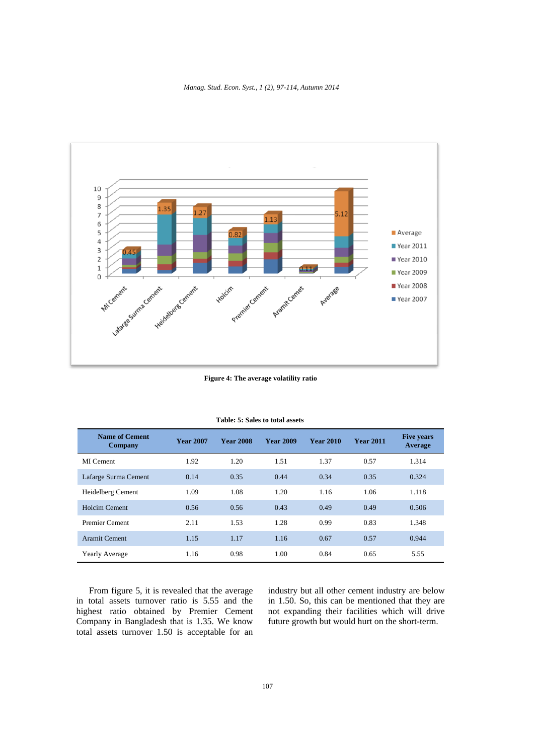*Manag. Stud. Econ. Syst., 1 (2), 97-114, Autumn 2014* 



**Figure 4: The average volatility ratio** 

| <b>Name of Cement</b><br><b>Company</b> | <b>Year 2007</b> | <b>Year 2008</b> | <b>Year 2009</b> | <b>Year 2010</b> | <b>Year 2011</b> | <b>Five years</b><br>Average |
|-----------------------------------------|------------------|------------------|------------------|------------------|------------------|------------------------------|
| MI Cement                               | 1.92             | 1.20             | 1.51             | 1.37             | 0.57             | 1.314                        |
| Lafarge Surma Cement                    | 0.14             | 0.35             | 0.44             | 0.34             | 0.35             | 0.324                        |
| Heidelberg Cement                       | 1.09             | 1.08             | 1.20             | 1.16             | 1.06             | 1.118                        |
| <b>Holcim Cement</b>                    | 0.56             | 0.56             | 0.43             | 0.49             | 0.49             | 0.506                        |
| <b>Premier Cement</b>                   | 2.11             | 1.53             | 1.28             | 0.99             | 0.83             | 1.348                        |
| <b>Aramit Cement</b>                    | 1.15             | 1.17             | 1.16             | 0.67             | 0.57             | 0.944                        |
| <b>Yearly Average</b>                   | 1.16             | 0.98             | 1.00             | 0.84             | 0.65             | 5.55                         |

#### **Table: 5: Sales to total assets**

From figure 5, it is revealed that the average in total assets turnover ratio is 5.55 and the highest ratio obtained by Premier Cement Company in Bangladesh that is 1.35. We know total assets turnover 1.50 is acceptable for an

industry but all other cement industry are below in 1.50. So, this can be mentioned that they are not expanding their facilities which will drive future growth but would hurt on the short-term.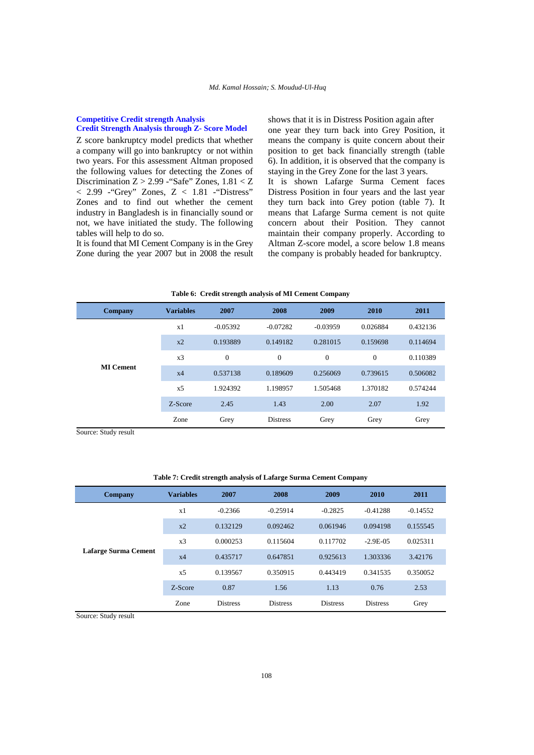### **Competitive Credit strength Analysis Credit Strength Analysis through Z- Score Model**

Z score bankruptcy model predicts that whether a company will go into bankruptcy or not within two years. For this assessment Altman proposed the following values for detecting the Zones of Discrimination Z > 2.99 -"Safe" Zones, 1.81 < Z  $< 2.99$  - "Grey" Zones,  $Z < 1.81$  - "Distress" Zones and to find out whether the cement industry in Bangladesh is in financially sound or not, we have initiated the study. The following tables will help to do so.

It is found that MI Cement Company is in the Grey Zone during the year 2007 but in 2008 the result shows that it is in Distress Position again after one year they turn back into Grey Position, it means the company is quite concern about their position to get back financially strength (table 6). In addition, it is observed that the company is staying in the Grey Zone for the last 3 years. It is shown Lafarge Surma Cement faces Distress Position in four years and the last year they turn back into Grey potion (table 7). It means that Lafarge Surma cement is not quite concern about their Position. They cannot maintain their company properly. According to Altman Z-score model, a score below 1.8 means the company is probably headed for bankruptcy.

| Company | <b>Variables</b>                                                                                                                                                                                                                                                                                                                                                                                                                      | 2007     | 2008 | 2009 | 2010 | 2011     |
|---------|---------------------------------------------------------------------------------------------------------------------------------------------------------------------------------------------------------------------------------------------------------------------------------------------------------------------------------------------------------------------------------------------------------------------------------------|----------|------|------|------|----------|
|         | $-0.05392$<br>$-0.03959$<br>0.026884<br>x1<br>$-0.07282$<br>0.193889<br>0.149182<br>0.281015<br>0.159698<br>$x^2$<br>$\overline{0}$<br>$\overline{0}$<br>$\mathbf{0}$<br>$\mathbf{0}$<br>x3<br><b>MI</b> Cement<br>0.537138<br>0.189609<br>0.256069<br>0.739615<br>x4<br>1.370182<br>1.924392<br>1.198957<br>1.505468<br>x <sub>5</sub><br>2.00<br>2.45<br>1.43<br>2.07<br>Z-Score<br><b>Distress</b><br>Zone<br>Grey<br>Grey<br>Grey | 0.432136 |      |      |      |          |
|         |                                                                                                                                                                                                                                                                                                                                                                                                                                       | 0.114694 |      |      |      |          |
|         |                                                                                                                                                                                                                                                                                                                                                                                                                                       |          |      |      |      | 0.110389 |
|         |                                                                                                                                                                                                                                                                                                                                                                                                                                       |          |      |      |      | 0.506082 |
|         |                                                                                                                                                                                                                                                                                                                                                                                                                                       |          |      |      |      | 0.574244 |
|         |                                                                                                                                                                                                                                                                                                                                                                                                                                       |          |      |      |      | 1.92     |
|         |                                                                                                                                                                                                                                                                                                                                                                                                                                       |          |      |      |      | Grey     |

**Table 6: Credit strength analysis of MI Cement Company** 

Source: Study result

# **Table 7: Credit strength analysis of Lafarge Surma Cement Company**

| Company              | <b>Variables</b> | 2007            | 2008            | 2009            | 2010            | 2011       |
|----------------------|------------------|-----------------|-----------------|-----------------|-----------------|------------|
|                      | x1               | $-0.2366$       | $-0.25914$      | $-0.2825$       | $-0.41288$      | $-0.14552$ |
|                      | $x^2$            | 0.132129        | 0.092462        | 0.061946        | 0.094198        | 0.155545   |
|                      | x3               | 0.000253        | 0.115604        | 0.117702        | $-2.9E-0.5$     | 0.025311   |
| Lafarge Surma Cement | x4               | 0.435717        | 0.647851        | 0.925613        | 1.303336        | 3.42176    |
|                      | x <sub>5</sub>   | 0.139567        | 0.350915        | 0.443419        | 0.341535        | 0.350052   |
|                      | Z-Score          | 0.87            | 1.56            | 1.13            | 0.76            | 2.53       |
|                      | Zone             | <b>Distress</b> | <b>Distress</b> | <b>Distress</b> | <b>Distress</b> | Grey       |

Source: Study result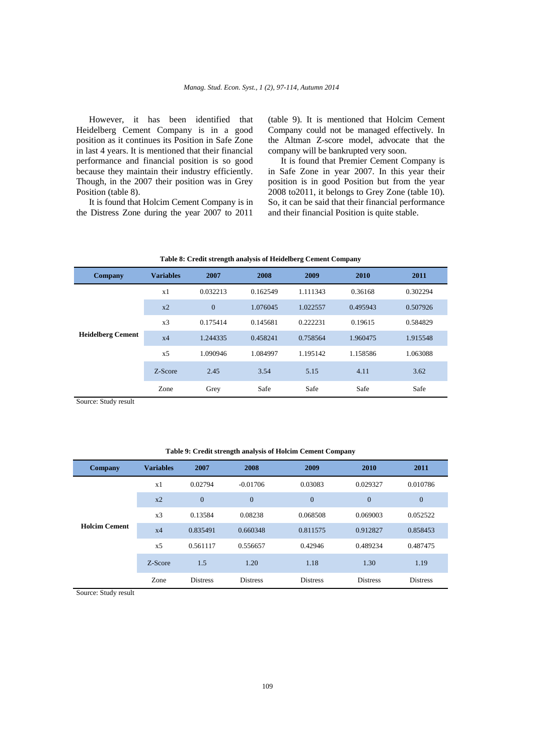However, it has been identified that Heidelberg Cement Company is in a good position as it continues its Position in Safe Zone in last 4 years. It is mentioned that their financial performance and financial position is so good because they maintain their industry efficiently. Though, in the 2007 their position was in Grey Position (table 8).

It is found that Holcim Cement Company is in the Distress Zone during the year 2007 to 2011

(table 9). It is mentioned that Holcim Cement Company could not be managed effectively. In the Altman Z-score model, advocate that the company will be bankrupted very soon.

It is found that Premier Cement Company is in Safe Zone in year 2007. In this year their position is in good Position but from the year 2008 to2011, it belongs to Grey Zone (table 10). So, it can be said that their financial performance and their financial Position is quite stable.

| Table 8: Credit strength analysis of Heidelberg Cement Company |                  |                |          |          |          |          |  |  |
|----------------------------------------------------------------|------------------|----------------|----------|----------|----------|----------|--|--|
| Company                                                        | <b>Variables</b> | 2007           | 2008     | 2009     | 2010     | 2011     |  |  |
|                                                                | x1               | 0.032213       | 0.162549 | 1.111343 | 0.36168  | 0.302294 |  |  |
|                                                                | $x^2$            | $\overline{0}$ | 1.076045 | 1.022557 | 0.495943 | 0.507926 |  |  |
|                                                                | x3               | 0.175414       | 0.145681 | 0.222231 | 0.19615  | 0.584829 |  |  |
| <b>Heidelberg Cement</b>                                       | x4               | 1.244335       | 0.458241 | 0.758564 | 1.960475 | 1.915548 |  |  |
|                                                                | x5               | 1.090946       | 1.084997 | 1.195142 | 1.158586 | 1.063088 |  |  |
|                                                                | Z-Score          | 2.45           | 3.54     | 5.15     | 4.11     | 3.62     |  |  |
|                                                                | Zone             | Grey           | Safe     | Safe     | Safe     | Safe     |  |  |

Source: Study result

#### **Table 9: Credit strength analysis of Holcim Cement Company**

| Company              | <b>Variables</b> | 2007            | 2008            | 2009            | 2010            | 2011            |
|----------------------|------------------|-----------------|-----------------|-----------------|-----------------|-----------------|
|                      | x1               | 0.02794         | $-0.01706$      | 0.03083         | 0.029327        | 0.010786        |
|                      | $x^2$            | $\overline{0}$  | $\overline{0}$  | $\overline{0}$  | $\overline{0}$  | $\overline{0}$  |
| <b>Holcim Cement</b> | x <sub>3</sub>   | 0.13584         | 0.08238         | 0.068508        | 0.069003        | 0.052522        |
|                      | x4               | 0.835491        | 0.660348        | 0.811575        | 0.912827        | 0.858453        |
|                      | x <sub>5</sub>   | 0.561117        | 0.556657        | 0.42946         | 0.489234        | 0.487475        |
|                      | Z-Score          | 1.5             | 1.20            | 1.18            | 1.30            | 1.19            |
|                      | Zone             | <b>Distress</b> | <b>Distress</b> | <b>Distress</b> | <b>Distress</b> | <b>Distress</b> |

Source: Study result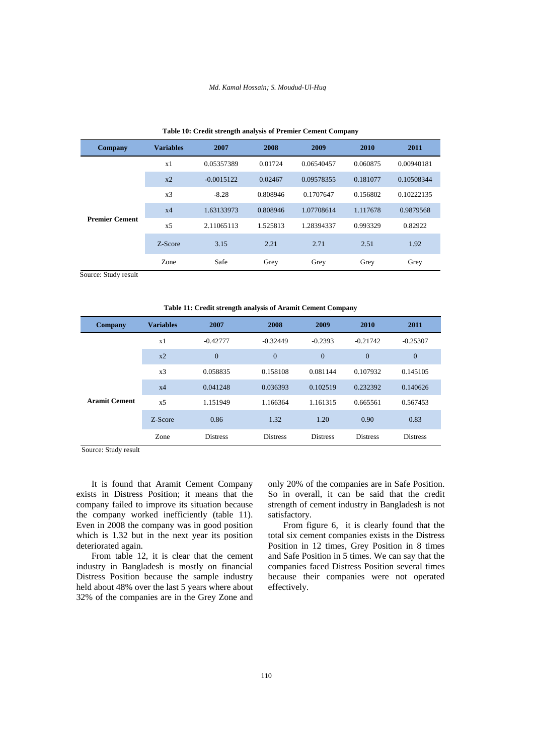#### *Md. Kamal Hossain; S. Moudud-Ul-Huq*

| <b>Company</b>        | <b>Variables</b> | 2007         | 2008     | 2009       | 2010     | 2011       |
|-----------------------|------------------|--------------|----------|------------|----------|------------|
|                       | x1               | 0.05357389   | 0.01724  | 0.06540457 | 0.060875 | 0.00940181 |
|                       | $x^2$            | $-0.0015122$ | 0.02467  | 0.09578355 | 0.181077 | 0.10508344 |
|                       | x3               | $-8.28$      | 0.808946 | 0.1707647  | 0.156802 | 0.10222135 |
|                       | x4               | 1.63133973   | 0.808946 | 1.07708614 | 1.117678 | 0.9879568  |
| <b>Premier Cement</b> | x <sub>5</sub>   | 2.11065113   | 1.525813 | 1.28394337 | 0.993329 | 0.82922    |
|                       | Z-Score          | 3.15         | 2.21     | 2.71       | 2.51     | 1.92       |
|                       | Zone             | Safe         | Grey     | Grey       | Grey     | Grey       |

#### **Table 10: Credit strength analysis of Premier Cement Company**

Source: Study result

**Table 11: Credit strength analysis of Aramit Cement Company** 

| <b>Company</b>       | <b>Variables</b> | 2007            | 2008            | 2009            | 2010            | 2011            |
|----------------------|------------------|-----------------|-----------------|-----------------|-----------------|-----------------|
|                      | x1               | $-0.42777$      | $-0.32449$      | $-0.2393$       | $-0.21742$      | $-0.25307$      |
|                      | $x^2$            | $\overline{0}$  | $\mathbf{0}$    | $\mathbf{0}$    | $\overline{0}$  | $\overline{0}$  |
|                      | x <sub>3</sub>   | 0.058835        | 0.158108        | 0.081144        | 0.107932        | 0.145105        |
|                      | x4               | 0.041248        | 0.036393        | 0.102519        | 0.232392        | 0.140626        |
| <b>Aramit Cement</b> | x <sub>5</sub>   | 1.151949        | 1.166364        | 1.161315        | 0.665561        | 0.567453        |
|                      | Z-Score          | 0.86            | 1.32            | 1.20            | 0.90            | 0.83            |
|                      | Zone             | <b>Distress</b> | <b>Distress</b> | <b>Distress</b> | <b>Distress</b> | <b>Distress</b> |

Source: Study result

It is found that Aramit Cement Company exists in Distress Position; it means that the company failed to improve its situation because the company worked inefficiently (table 11). Even in 2008 the company was in good position which is 1.32 but in the next year its position deteriorated again.

From table 12, it is clear that the cement industry in Bangladesh is mostly on financial Distress Position because the sample industry held about 48% over the last 5 years where about 32% of the companies are in the Grey Zone and

only 20% of the companies are in Safe Position. So in overall, it can be said that the credit strength of cement industry in Bangladesh is not satisfactory.

From figure 6, it is clearly found that the total six cement companies exists in the Distress Position in 12 times, Grey Position in 8 times and Safe Position in 5 times. We can say that the companies faced Distress Position several times because their companies were not operated effectively.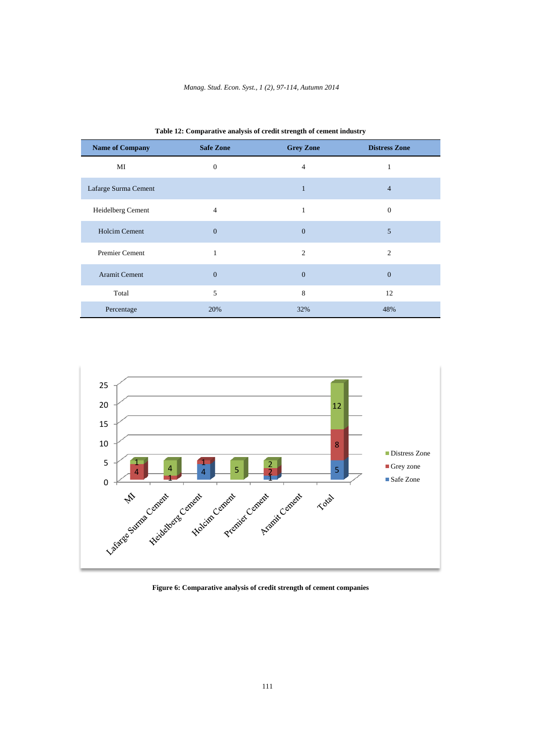| <b>Name of Company</b> | <b>Safe Zone</b> | <b>Grey Zone</b> | <b>Distress Zone</b>        |
|------------------------|------------------|------------------|-----------------------------|
| MI                     | $\Omega$         | 4                |                             |
| Lafarge Surma Cement   |                  | 1                | $\overline{4}$              |
| Heidelberg Cement      | $\overline{4}$   |                  | $\Omega$                    |
| <b>Holcim Cement</b>   | $\mathbf{0}$     | $\boldsymbol{0}$ | 5                           |
| <b>Premier Cement</b>  | $\mathbf{1}$     | $\overline{c}$   | $\mathcal{D}_{\mathcal{A}}$ |
| Aramit Cement          | $\mathbf{0}$     | $\boldsymbol{0}$ | $\mathbf{0}$                |
| Total                  | 5                | 8                | 12                          |
| Percentage             | 20%              | 32%              | 48%                         |

**Table 12: Comparative analysis of credit strength of cement industry** 



**Figure 6: Comparative analysis of credit strength of cement companies**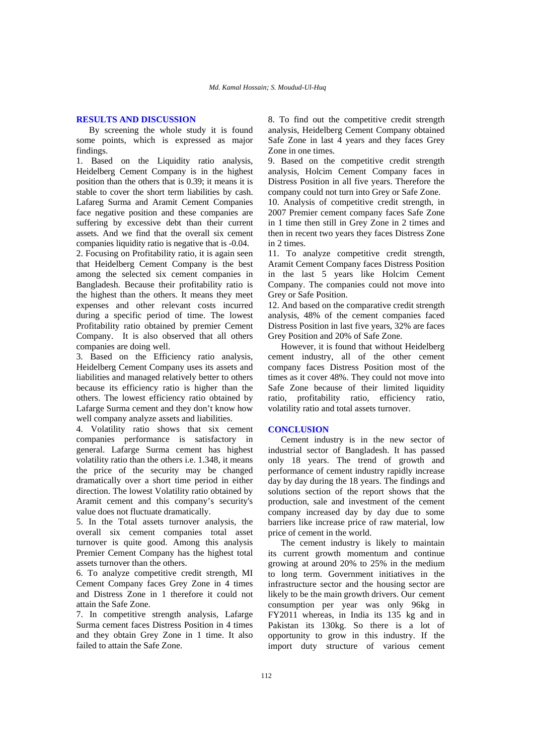### **RESULTS AND DISCUSSION**

By screening the whole study it is found some points, which is expressed as major findings.

1. Based on the Liquidity ratio analysis, Heidelberg Cement Company is in the highest position than the others that is 0.39; it means it is stable to cover the short term liabilities by cash. Lafareg Surma and Aramit Cement Companies face negative position and these companies are suffering by excessive debt than their current assets. And we find that the overall six cement companies liquidity ratio is negative that is -0.04.

2. Focusing on Profitability ratio, it is again seen that Heidelberg Cement Company is the best among the selected six cement companies in Bangladesh. Because their profitability ratio is the highest than the others. It means they meet expenses and other relevant costs incurred during a specific period of time. The lowest Profitability ratio obtained by premier Cement Company. It is also observed that all others companies are doing well.

3. Based on the Efficiency ratio analysis, Heidelberg Cement Company uses its assets and liabilities and managed relatively better to others because its efficiency ratio is higher than the others. The lowest efficiency ratio obtained by Lafarge Surma cement and they don't know how well company analyze assets and liabilities.

4. Volatility ratio shows that six cement companies performance is satisfactory in general. Lafarge Surma cement has highest volatility ratio than the others i.e. 1.348, it means the price of the security may be changed dramatically over a short time period in either direction. The lowest Volatility ratio obtained by Aramit cement and this company's security's value does not fluctuate dramatically.

5. In the Total assets turnover analysis, the overall six cement companies total asset turnover is quite good. Among this analysis Premier Cement Company has the highest total assets turnover than the others.

6. To analyze competitive credit strength, MI Cement Company faces Grey Zone in 4 times and Distress Zone in 1 therefore it could not attain the Safe Zone.

7. In competitive strength analysis, Lafarge Surma cement faces Distress Position in 4 times and they obtain Grey Zone in 1 time. It also failed to attain the Safe Zone.

8. To find out the competitive credit strength analysis, Heidelberg Cement Company obtained Safe Zone in last 4 years and they faces Grey Zone in one times.

9. Based on the competitive credit strength analysis, Holcim Cement Company faces in Distress Position in all five years. Therefore the company could not turn into Grey or Safe Zone.

10. Analysis of competitive credit strength, in 2007 Premier cement company faces Safe Zone in 1 time then still in Grey Zone in 2 times and then in recent two years they faces Distress Zone in 2 times.

11. To analyze competitive credit strength, Aramit Cement Company faces Distress Position in the last 5 years like Holcim Cement Company. The companies could not move into Grey or Safe Position.

12. And based on the comparative credit strength analysis, 48% of the cement companies faced Distress Position in last five years, 32% are faces Grey Position and 20% of Safe Zone.

However, it is found that without Heidelberg cement industry, all of the other cement company faces Distress Position most of the times as it cover 48%. They could not move into Safe Zone because of their limited liquidity ratio, profitability ratio, efficiency ratio, volatility ratio and total assets turnover.

### **CONCLUSION**

Cement industry is in the new sector of industrial sector of Bangladesh. It has passed only 18 years. The trend of growth and performance of cement industry rapidly increase day by day during the 18 years. The findings and solutions section of the report shows that the production, sale and investment of the cement company increased day by day due to some barriers like increase price of raw material, low price of cement in the world.

The cement industry is likely to maintain its current growth momentum and continue growing at around 20% to 25% in the medium to long term. Government initiatives in the infrastructure sector and the housing sector are likely to be the main growth drivers. Our cement consumption per year was only 96kg in FY2011 whereas, in India its 135 kg and in Pakistan its 130kg. So there is a lot of opportunity to grow in this industry. If the import duty structure of various cement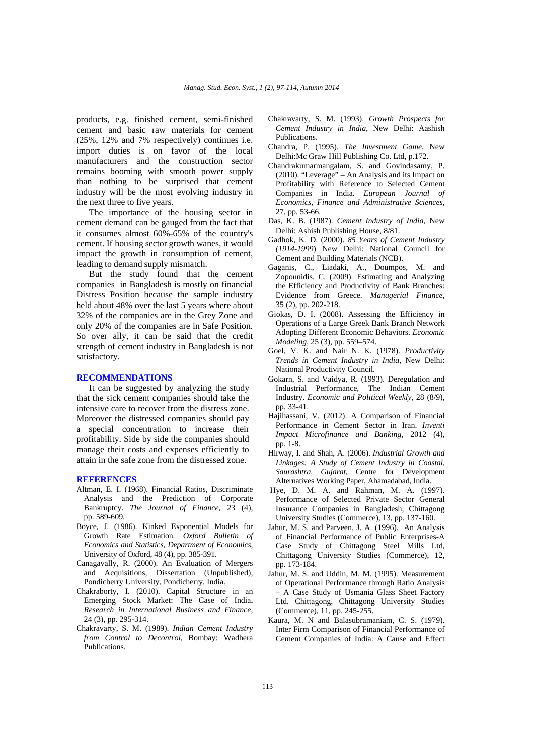products, e.g. finished cement, semi-finished cement and basic raw materials for cement (25%, 12% and 7% respectively) continues i.e. import duties is on favor of the local manufacturers and the construction sector remains booming with smooth power supply than nothing to be surprised that cement industry will be the most evolving industry in the next three to five years.

The importance of the housing sector in cement demand can be gauged from the fact that it consumes almost 60%-65% of the country's cement. If housing sector growth wanes, it would impact the growth in consumption of cement, leading to demand supply mismatch.

But the study found that the cement companies in Bangladesh is mostly on financial Distress Position because the sample industry held about 48% over the last 5 years where about 32% of the companies are in the Grey Zone and only 20% of the companies are in Safe Position. So over ally, it can be said that the credit strength of cement industry in Bangladesh is not satisfactory.

### **RECOMMENDATIONS**

It can be suggested by analyzing the study that the sick cement companies should take the intensive care to recover from the distress zone. Moreover the distressed companies should pay a special concentration to increase their profitability. Side by side the companies should manage their costs and expenses efficiently to attain in the safe zone from the distressed zone.

#### **REFERENCES**

- Altman, E. I. (1968). Financial Ratios, Discriminate Analysis and the Prediction of Corporate Bankruptcy. *The Journal of Finance*, 23 (4), pp. 589-609.
- Boyce, J. (1986). Kinked Exponential Models for Growth Rate Estimation. *Oxford Bulletin of Economics and Statistics, Department of Economics*, University of Oxford, 48 (4), pp. 385-391.
- Canagavally, R. (2000). An Evaluation of Mergers and Acquisitions, Dissertation (Unpublished), Pondicherry University, Pondicherry, India.
- Chakraborty, I. (2010). Capital Structure in an Emerging Stock Market: The Case of India**.**  *Research in International Business and Finance*, 24 (3), pp. 295-314.
- Chakravarty, S. M. (1989). *Indian Cement Industry from Control to Decontrol*, Bombay: Wadhera Publications.
- Chakravarty, S. M. (1993). *Growth Prospects for Cement Industry in India*, New Delhi: Aashish Publications.
- Chandra, P. (1995). *The Investment Game*, New Delhi:Mc Graw Hill Publishing Co. Ltd, p.172.
- Chandrakumarmangalam, S. and Govindasamy, P. (2010). "Leverage" – An Analysis and its Impact on Profitability with Reference to Selected Cement Companies in India. *European Journal of Economics, Finance and Administrative Sciences*, 27, pp. 53-66.
- Das, K. B. (1987). *Cement Industry of India*, New Delhi: Ashish Publishing House, 8/81.
- Gadhok, K. D. (2000). *85 Years of Cement Industry (1914-1999*) New Delhi: National Council for Cement and Building Materials (NCB).
- Gaganis, C., Liadaki, A., Doumpos, M. and Zopounidis, C. (2009). Estimating and Analyzing the Efficiency and Productivity of Bank Branches: Evidence from Greece. *Managerial Finance*, 35 (2), pp. 202-218.
- Giokas, D. I. (2008). Assessing the Efficiency in Operations of a Large Greek Bank Branch Network Adopting Different Economic Behaviors. *Economic Modeling*, 25 (3), pp. 559–574.
- Goel, V. K. and Nair N. K. (1978). *Productivity Trends in Cement Industry in India*, New Delhi: National Productivity Council.
- Gokarn, S. and Vaidya, R. (1993). Deregulation and Industrial Performance, The Indian Cement Industry. *Economic and Political Weekly*, 28 (8/9), pp. 33-41.
- Hajihassani, V. (2012). A Comparison of Financial Performance in Cement Sector in Iran. *Inventi Impact Microfinance and Banking*, 2012 (4), pp. 1-8.
- Hirway, I. and Shah, A. (2006). *Industrial Growth and Linkages: A Study of Cement Industry in Coastal, Saurashtra, Gujarat*, Centre for Development Alternatives Working Paper, Ahamadabad, India.
- Hye, D. M. A. and Rahman, M. A. (1997). Performance of Selected Private Sector General Insurance Companies in Bangladesh, Chittagong University Studies (Commerce), 13, pp. 137-160.
- Jahur, M. S. and Parveen, J. A. (1996). An Analysis of Financial Performance of Public Enterprises-A Case Study of Chittagong Steel Mills Ltd, Chittagong University Studies (Commerce), 12, pp. 173-184.
- Jahur, M. S. and Uddin, M. M. (1995). Measurement of Operational Performance through Ratio Analysis – A Case Study of Usmania Glass Sheet Factory Ltd. Chittagong, Chittagong University Studies (Commerce), 11, pp. 245-255.
- Kaura, M. N and Balasubramaniam, C. S. (1979). Inter Firm Comparison of Financial Performance of Cement Companies of India: A Cause and Effect